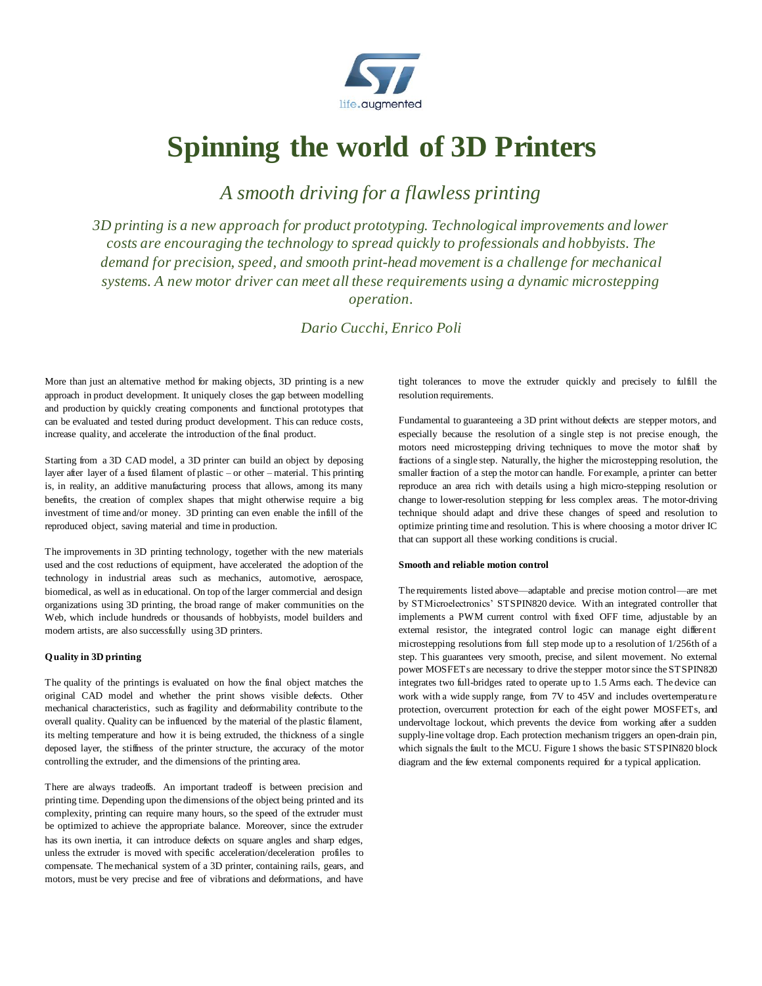

# **Spinning the world of 3D Printers**

*A smooth driving for a flawless printing*

*3D printing is a new approach for product prototyping. Technological improvements and lower costs are encouraging the technology to spread quickly to professionals and hobbyists. The demand for precision, speed, and smooth print-head movement is a challenge for mechanical systems. A new motor driver can meet all these requirements using a dynamic microstepping operation.*

*Dario Cucchi, Enrico Poli*

More than just an alternative method for making objects, 3D printing is a new approach in product development. It uniquely closes the gap between modelling and production by quickly creating components and functional prototypes that can be evaluated and tested during product development. This can reduce costs, increase quality, and accelerate the introduction of the final product.

Starting from a 3D CAD model, a 3D printer can build an object by deposing layer after layer of a fused filament of plastic – or other – material. This printing is, in reality, an additive manufacturing process that allows, among its many benefits, the creation of complex shapes that might otherwise require a big investment of time and/or money. 3D printing can even enable the infill of the reproduced object, saving material and time in production.

The improvements in 3D printing technology, together with the new materials used and the cost reductions of equipment, have accelerated the adoption of the technology in industrial areas such as mechanics, automotive, aerospace, biomedical, as well as in educational. On top of the larger commercial and design organizations using 3D printing, the broad range of maker communities on the Web, which include hundreds or thousands of hobbyists, model builders and modern artists, are also successfully using 3D printers.

# **Quality in 3D printing**

The quality of the printings is evaluated on how the final object matches the original CAD model and whether the print shows visible defects. Other mechanical characteristics, such as fragility and deformability contribute to the overall quality. Quality can be influenced by the material of the plastic filament, its melting temperature and how it is being extruded, the thickness of a single deposed layer, the stiffness of the printer structure, the accuracy of the motor controlling the extruder, and the dimensions of the printing area.

There are always tradeoffs. An important tradeoff is between precision and printing time. Depending upon the dimensions of the object being printed and its complexity, printing can require many hours, so the speed of the extruder must be optimized to achieve the appropriate balance. Moreover, since the extruder has its own inertia, it can introduce defects on square angles and sharp edges, unless the extruder is moved with specific acceleration/deceleration profiles to compensate. The mechanical system of a 3D printer, containing rails, gears, and motors, must be very precise and free of vibrations and deformations, and have

tight tolerances to move the extruder quickly and precisely to fulfill the resolution requirements.

Fundamental to guaranteeing a 3D print without defects are stepper motors, and especially because the resolution of a single step is not precise enough, the motors need microstepping driving techniques to move the motor shaft by fractions of a single step. Naturally, the higher the microstepping resolution, the smaller fraction of a step the motor can handle. For example, a printer can better reproduce an area rich with details using a high micro-stepping resolution or change to lower-resolution stepping for less complex areas. The motor-driving technique should adapt and drive these changes of speed and resolution to optimize printing time and resolution. This is where choosing a motor driver IC that can support all these working conditions is crucial.

#### **Smooth and reliable motion control**

The requirements listed above—adaptable and precise motion control—are met by STMicroelectronics' STSPIN820 device. With an integrated controller that implements a PWM current control with fixed OFF time, adjustable by an external resistor, the integrated control logic can manage eight different microstepping resolutions from full step mode up to a resolution of 1/256th of a step. This guarantees very smooth, precise, and silent movement. No external power MOSFETs are necessary to drive the stepper motor since the STSPIN820 integrates two full-bridges rated to operate up to 1.5 Arms each. The device can work with a wide supply range, from 7V to 45V and includes overtemperature protection, overcurrent protection for each of the eight power MOSFETs, and undervoltage lockout, which prevents the device from working after a sudden supply-line voltage drop. Each protection mechanism triggers an open-drain pin, which signals the fault to the MCU. [Figure 1](#page-1-0) shows the basic STSPIN820 block diagram and the few external components required for a typical application.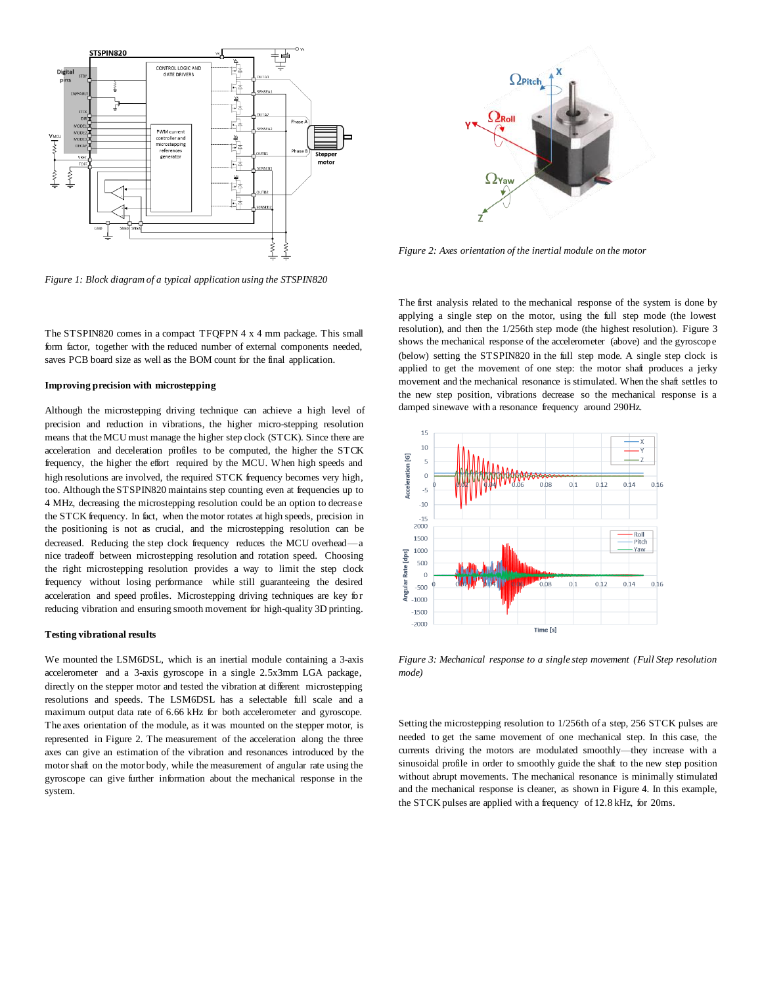

<span id="page-1-0"></span>*Figure 1: Block diagram of a typical application using the STSPIN820*

The STSPIN820 comes in a compact TFQFPN 4 x 4 mm package. This small form factor, together with the reduced number of external components needed, saves PCB board size as well as the BOM count for the final application.

## **Improving precision with microstepping**

Although the microstepping driving technique can achieve a high level of precision and reduction in vibrations, the higher micro-stepping resolution means that the MCU must manage the higher step clock (STCK). Since there are acceleration and deceleration profiles to be computed, the higher the STCK frequency, the higher the effort required by the MCU. When high speeds and high resolutions are involved, the required STCK frequency becomes very high, too. Although the STSPIN820 maintains step counting even at frequencies up to 4 MHz, decreasing the microstepping resolution could be an option to decrease the STCK frequency. In fact, when the motor rotates at high speeds, precision in the positioning is not as crucial, and the microstepping resolution can be decreased. Reducing the step clock frequency reduces the MCU overhead—a nice tradeoff between microstepping resolution and rotation speed. Choosing the right microstepping resolution provides a way to limit the step clock frequency without losing performance while still guaranteeing the desired acceleration and speed profiles. Microstepping driving techniques are key for reducing vibration and ensuring smooth movement for high-quality 3D printing.

#### **Testing vibrational results**

We mounted the LSM6DSL, which is an inertial module containing a 3-axis accelerometer and a 3-axis gyroscope in a single 2.5x3mm LGA package, directly on the stepper motor and tested the vibration at different microstepping resolutions and speeds. The LSM6DSL has a selectable full scale and a maximum output data rate of 6.66 kHz for both accelerometer and gyroscope. The axes orientation of the module, as it was mounted on the stepper motor, is represented in [Figure 2.](#page-1-1) The measurement of the acceleration along the three axes can give an estimation of the vibration and resonances introduced by the motor shaft on the motor body, while the measurement of angular rate using the gyroscope can give further information about the mechanical response in the system.



<span id="page-1-1"></span>*Figure 2: Axes orientation of the inertial module on the motor*

The first analysis related to the mechanical response of the system is done by applying a single step on the motor, using the full step mode (the lowest resolution), and then the 1/256th step mode (the highest resolution). [Figure 3](#page-1-2) shows the mechanical response of the accelerometer (above) and the gyroscope (below) setting the STSPIN820 in the full step mode. A single step clock is applied to get the movement of one step: the motor shaft produces a jerky movement and the mechanical resonance is stimulated. When the shaft settles to the new step position, vibrations decrease so the mechanical response is a damped sinewave with a resonance frequency around 290Hz.



<span id="page-1-2"></span>*Figure 3: Mechanical response to a single step movement (Full Step resolution mode)*

Setting the microstepping resolution to 1/256th of a step, 256 STCK pulses are needed to get the same movement of one mechanical step. In this case, the currents driving the motors are modulated smoothly—they increase with a sinusoidal profile in order to smoothly guide the shaft to the new step position without abrupt movements. The mechanical resonance is minimally stimulated and the mechanical response is cleaner, as shown i[n Figure 4.](#page-2-0) In this example, the STCK pulses are applied with a frequency of 12.8 kHz, for 20ms.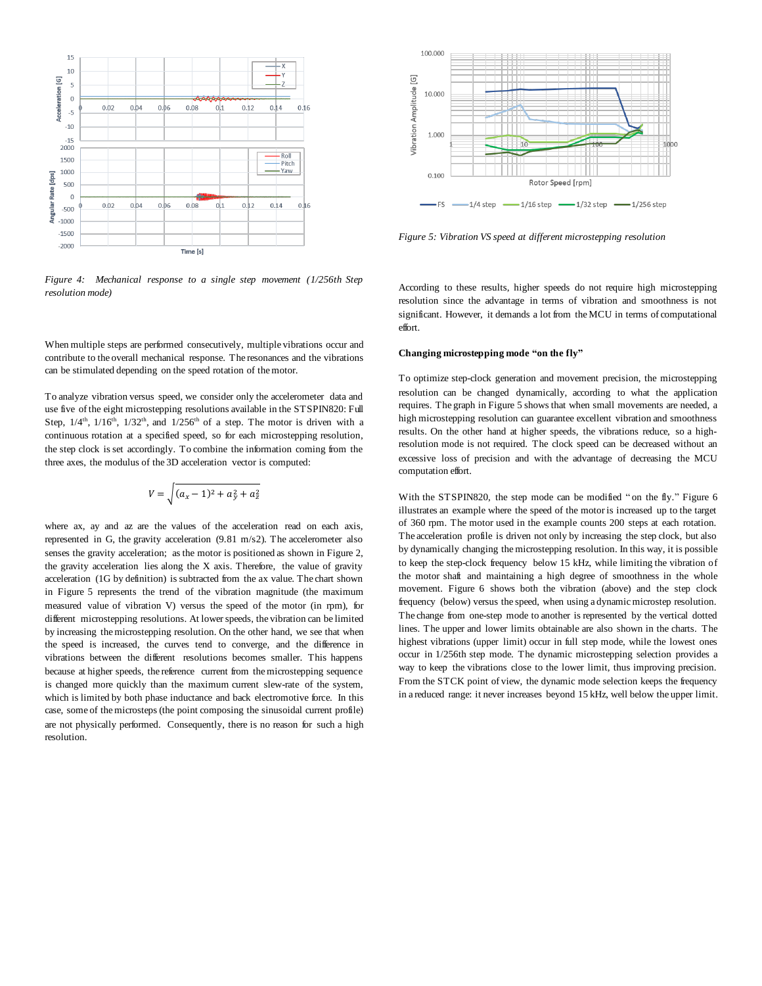

<span id="page-2-0"></span>*Figure 4: Mechanical response to a single step movement (1/256th Step resolution mode)*

When multiple steps are performed consecutively, multiple vibrations occur and contribute to the overall mechanical response. The resonances and the vibrations can be stimulated depending on the speed rotation of the motor.

To analyze vibration versus speed, we consider only the accelerometer data and use five of the eight microstepping resolutions available in the STSPIN820: Full Step,  $1/4$ <sup>th</sup>,  $1/16$ <sup>th</sup>,  $1/32$ <sup>th</sup>, and  $1/256$ <sup>th</sup> of a step. The motor is driven with a continuous rotation at a specified speed, so for each microstepping resolution, the step clock is set accordingly. To combine the information coming from the three axes, the modulus of the 3D acceleration vector is computed:

$$
V = \sqrt{(a_x - 1)^2 + a_y^2 + a_z^2}
$$

where ax, ay and az are the values of the acceleration read on each axis, represented in G, the gravity acceleration (9.81 m/s2). The accelerometer also senses the gravity acceleration; as the motor is positioned as shown i[n Figure 2,](#page-1-1) the gravity acceleration lies along the X axis. Therefore, the value of gravity acceleration (1G by definition) is subtracted from the ax value. The chart shown in [Figure 5](#page-2-1) represents the trend of the vibration magnitude (the maximum measured value of vibration V) versus the speed of the motor (in rpm), for different microstepping resolutions. At lower speeds, the vibration can be limited by increasing the microstepping resolution. On the other hand, we see that when the speed is increased, the curves tend to converge, and the difference in vibrations between the different resolutions becomes smaller. This happens because at higher speeds, the reference current from the microstepping sequence is changed more quickly than the maximum current slew-rate of the system, which is limited by both phase inductance and back electromotive force. In this case, some of the microsteps (the point composing the sinusoidal current profile) are not physically performed. Consequently, there is no reason for such a high resolution.



<span id="page-2-1"></span>*Figure 5: Vibration VS speed at different microstepping resolution*

According to these results, higher speeds do not require high microstepping resolution since the advantage in terms of vibration and smoothness is not significant. However, it demands a lot from the MCU in terms of computational effort.

#### **Changing microstepping mode "on the fly"**

To optimize step-clock generation and movement precision, the microstepping resolution can be changed dynamically, according to what the application requires. The graph i[n Figure 5](#page-2-1) shows that when small movements are needed, a high microstepping resolution can guarantee excellent vibration and smoothness results. On the other hand at higher speeds, the vibrations reduce, so a highresolution mode is not required. The clock speed can be decreased without an excessive loss of precision and with the advantage of decreasing the MCU computation effort.

With the STSPIN820, the step mode can be modified "on the fly." [Figure 6](#page-3-0) illustrates an example where the speed of the motor is increased up to the target of 360 rpm. The motor used in the example counts 200 steps at each rotation. The acceleration profile is driven not only by increasing the step clock, but also by dynamically changing the microstepping resolution. In this way, it is possible to keep the step-clock frequency below 15 kHz, while limiting the vibration of the motor shaft and maintaining a high degree of smoothness in the whole movement. [Figure 6](#page-3-0) shows both the vibration (above) and the step clock frequency (below) versus the speed, when using a dynamic microstep resolution. The change from one-step mode to another is represented by the vertical dotted lines. The upper and lower limits obtainable are also shown in the charts. The highest vibrations (upper limit) occur in full step mode, while the lowest ones occur in 1/256th step mode. The dynamic microstepping selection provides a way to keep the vibrations close to the lower limit, thus improving precision. From the STCK point of view, the dynamic mode selection keeps the frequency in a reduced range: it never increases beyond 15 kHz, well below the upper limit.